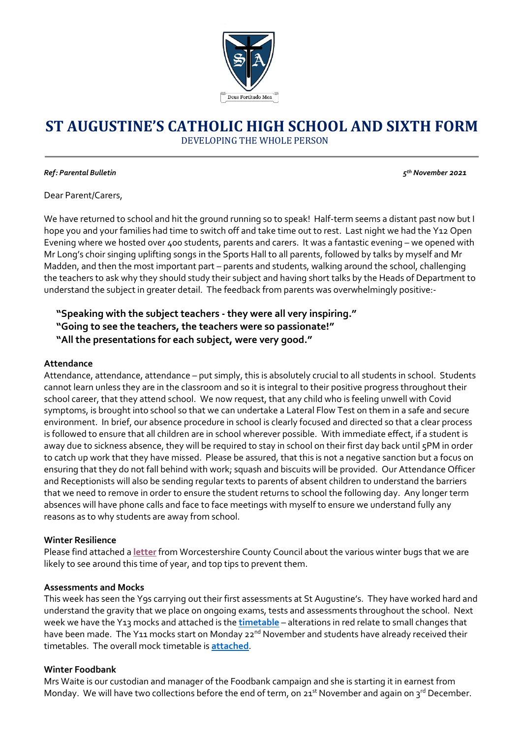

# **ST AUGUSTINE'S CATHOLIC HIGH SCHOOL AND SIXTH FORM**

DEVELOPING THE WHOLE PERSON

#### *Ref: Parental Bulletin 5*

*th November 2021*

Dear Parent/Carers,

We have returned to school and hit the ground running so to speak! Half-term seems a distant past now but I hope you and your families had time to switch off and take time out to rest. Last night we had the Y12 Open Evening where we hosted over 400 students, parents and carers. It was a fantastic evening – we opened with Mr Long's choir singing uplifting songs in the Sports Hall to all parents, followed by talks by myself and Mr Madden, and then the most important part – parents and students, walking around the school, challenging the teachers to ask why they should study their subject and having short talks by the Heads of Department to understand the subject in greater detail. The feedback from parents was overwhelmingly positive:-

## **"Speaking with the subject teachers - they were all very inspiring." "Going to see the teachers, the teachers were so passionate!" "All the presentations for each subject, were very good."**

#### **Attendance**

Attendance, attendance, attendance – put simply, this is absolutely crucial to all students in school. Students cannot learn unless they are in the classroom and so it is integral to their positive progress throughout their school career, that they attend school. We now request, that any child who is feeling unwell with Covid symptoms, is brought into school so that we can undertake a Lateral Flow Test on them in a safe and secure environment. In brief, our absence procedure in school is clearly focused and directed so that a clear process is followed to ensure that all children are in school wherever possible. With immediate effect, if a student is away due to sickness absence, they will be required to stay in school on their first day back until 5PM in order to catch up work that they have missed. Please be assured, that this is not a negative sanction but a focus on ensuring that they do not fall behind with work; squash and biscuits will be provided. Our Attendance Officer and Receptionists will also be sending regular texts to parents of absent children to understand the barriers that we need to remove in order to ensure the student returns to school the following day. Any longer term absences will have phone calls and face to face meetings with myself to ensure we understand fully any reasons as to why students are away from school.

#### **Winter Resilience**

Please find attached a **[letter](https://www.sta.magnificat.org.uk/news/?pid=329&nid=36&storyid=139)** from Worcestershire County Council about the various winter bugs that we are likely to see around this time of year, and top tips to prevent them.

#### **Assessments and Mocks**

This week has seen the Y9s carrying out their first assessments at St Augustine's. They have worked hard and understand the gravity that we place on ongoing exams, tests and assessments throughout the school. Next week we have the Y13 mocks and attached is the **[timetable](https://www.sta.magnificat.org.uk/news/?pid=329&nid=36&storyid=139)** – alterations in red relate to small changes that have been made. The Y11 mocks start on Monday 22<sup>nd</sup> November and students have already received their timetables. The overall mock timetable is **[attached](https://www.sta.magnificat.org.uk/news/?pid=329&nid=36&storyid=139)**.

#### **Winter Foodbank**

Mrs Waite is our custodian and manager of the Foodbank campaign and she is starting it in earnest from Monday. We will have two collections before the end of term, on 21<sup>st</sup> November and again on 3<sup>rd</sup> December.